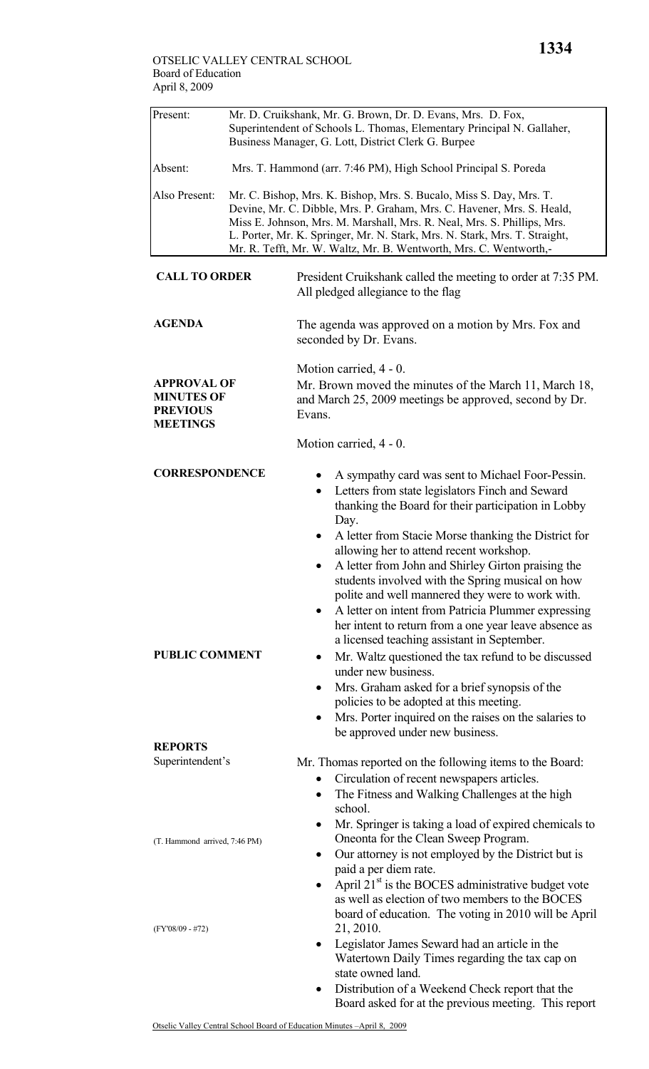| Present:                                                                      | Mr. D. Cruikshank, Mr. G. Brown, Dr. D. Evans, Mrs. D. Fox, |                                                                                                                                                                                                                                                                                                                                                                                                                                                                                                                                                                                                                                                                                                                           |  |  |
|-------------------------------------------------------------------------------|-------------------------------------------------------------|---------------------------------------------------------------------------------------------------------------------------------------------------------------------------------------------------------------------------------------------------------------------------------------------------------------------------------------------------------------------------------------------------------------------------------------------------------------------------------------------------------------------------------------------------------------------------------------------------------------------------------------------------------------------------------------------------------------------------|--|--|
|                                                                               |                                                             | Superintendent of Schools L. Thomas, Elementary Principal N. Gallaher,<br>Business Manager, G. Lott, District Clerk G. Burpee                                                                                                                                                                                                                                                                                                                                                                                                                                                                                                                                                                                             |  |  |
|                                                                               |                                                             |                                                                                                                                                                                                                                                                                                                                                                                                                                                                                                                                                                                                                                                                                                                           |  |  |
| Absent:                                                                       |                                                             | Mrs. T. Hammond (arr. 7:46 PM), High School Principal S. Poreda                                                                                                                                                                                                                                                                                                                                                                                                                                                                                                                                                                                                                                                           |  |  |
| Also Present:                                                                 |                                                             | Mr. C. Bishop, Mrs. K. Bishop, Mrs. S. Bucalo, Miss S. Day, Mrs. T.<br>Devine, Mr. C. Dibble, Mrs. P. Graham, Mrs. C. Havener, Mrs. S. Heald,<br>Miss E. Johnson, Mrs. M. Marshall, Mrs. R. Neal, Mrs. S. Phillips, Mrs.                                                                                                                                                                                                                                                                                                                                                                                                                                                                                                  |  |  |
|                                                                               |                                                             | L. Porter, Mr. K. Springer, Mr. N. Stark, Mrs. N. Stark, Mrs. T. Straight,                                                                                                                                                                                                                                                                                                                                                                                                                                                                                                                                                                                                                                                |  |  |
|                                                                               |                                                             | Mr. R. Tefft, Mr. W. Waltz, Mr. B. Wentworth, Mrs. C. Wentworth,-                                                                                                                                                                                                                                                                                                                                                                                                                                                                                                                                                                                                                                                         |  |  |
| <b>CALL TO ORDER</b>                                                          |                                                             | President Cruikshank called the meeting to order at 7:35 PM.<br>All pledged allegiance to the flag                                                                                                                                                                                                                                                                                                                                                                                                                                                                                                                                                                                                                        |  |  |
| <b>AGENDA</b>                                                                 |                                                             | The agenda was approved on a motion by Mrs. Fox and<br>seconded by Dr. Evans.                                                                                                                                                                                                                                                                                                                                                                                                                                                                                                                                                                                                                                             |  |  |
|                                                                               |                                                             | Motion carried, 4 - 0.                                                                                                                                                                                                                                                                                                                                                                                                                                                                                                                                                                                                                                                                                                    |  |  |
| <b>APPROVAL OF</b><br><b>MINUTES OF</b><br><b>PREVIOUS</b><br><b>MEETINGS</b> |                                                             | Mr. Brown moved the minutes of the March 11, March 18,<br>and March 25, 2009 meetings be approved, second by Dr.<br>Evans.                                                                                                                                                                                                                                                                                                                                                                                                                                                                                                                                                                                                |  |  |
|                                                                               |                                                             | Motion carried, 4 - 0.                                                                                                                                                                                                                                                                                                                                                                                                                                                                                                                                                                                                                                                                                                    |  |  |
| <b>CORRESPONDENCE</b>                                                         |                                                             | A sympathy card was sent to Michael Foor-Pessin.<br>Letters from state legislators Finch and Seward<br>٠<br>thanking the Board for their participation in Lobby<br>Day.                                                                                                                                                                                                                                                                                                                                                                                                                                                                                                                                                   |  |  |
| <b>PUBLIC COMMENT</b>                                                         |                                                             | A letter from Stacie Morse thanking the District for<br>٠<br>allowing her to attend recent workshop.<br>A letter from John and Shirley Girton praising the<br>students involved with the Spring musical on how<br>polite and well mannered they were to work with.<br>A letter on intent from Patricia Plummer expressing<br>her intent to return from a one year leave absence as<br>a licensed teaching assistant in September.<br>Mr. Waltz questioned the tax refund to be discussed<br>$\bullet$<br>under new business.<br>Mrs. Graham asked for a brief synopsis of the<br>٠<br>policies to be adopted at this meeting.<br>Mrs. Porter inquired on the raises on the salaries to<br>be approved under new business. |  |  |
| <b>REPORTS</b>                                                                |                                                             |                                                                                                                                                                                                                                                                                                                                                                                                                                                                                                                                                                                                                                                                                                                           |  |  |
| Superintendent's                                                              |                                                             | Mr. Thomas reported on the following items to the Board:<br>Circulation of recent newspapers articles.<br>$\bullet$<br>The Fitness and Walking Challenges at the high<br>$\bullet$<br>school.                                                                                                                                                                                                                                                                                                                                                                                                                                                                                                                             |  |  |
| (T. Hammond arrived, 7:46 PM)                                                 |                                                             | Mr. Springer is taking a load of expired chemicals to<br>٠<br>Oneonta for the Clean Sweep Program.<br>Our attorney is not employed by the District but is<br>٠<br>paid a per diem rate.<br>April 21 <sup>st</sup> is the BOCES administrative budget vote<br>as well as election of two members to the BOCES                                                                                                                                                                                                                                                                                                                                                                                                              |  |  |
| $(FY'08/09 - #72)$                                                            |                                                             | board of education. The voting in 2010 will be April<br>21, 2010.<br>Legislator James Seward had an article in the<br>٠<br>Watertown Daily Times regarding the tax cap on<br>state owned land.<br>Distribution of a Weekend Check report that the<br>٠<br>Board asked for at the previous meeting. This report                                                                                                                                                                                                                                                                                                                                                                                                            |  |  |
|                                                                               |                                                             |                                                                                                                                                                                                                                                                                                                                                                                                                                                                                                                                                                                                                                                                                                                           |  |  |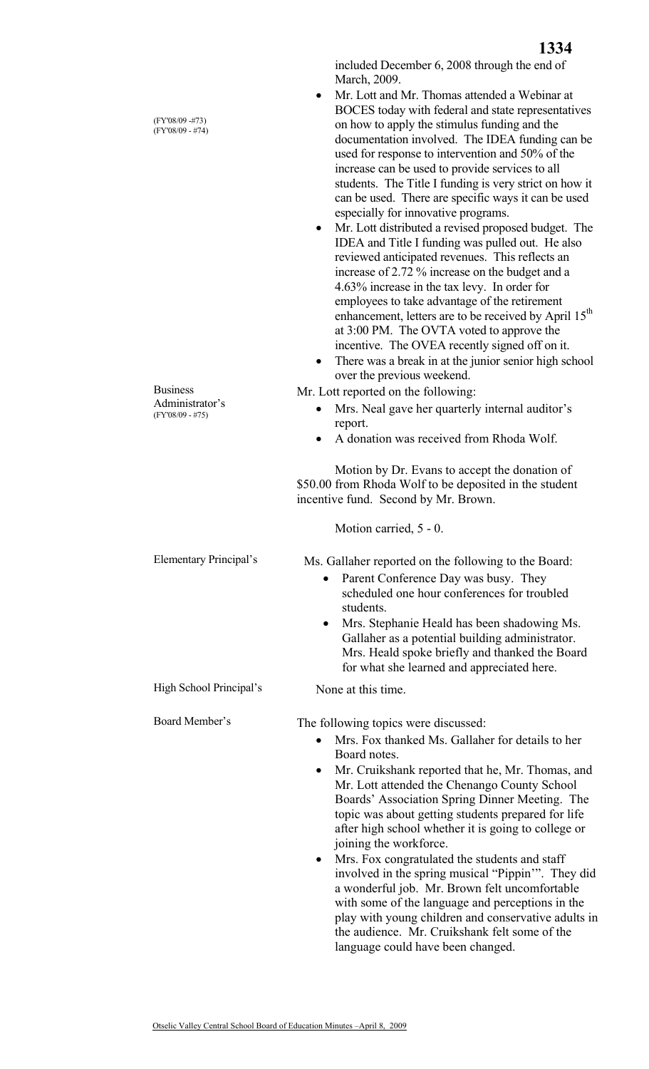(FY'08/09 -#73) (FY'08/09 - #74)

Business Administrator's (FY'08/09 - #75)

included December 6, 2008 through the end of March, 2009.

- Mr. Lott and Mr. Thomas attended a Webinar at BOCES today with federal and state representatives on how to apply the stimulus funding and the documentation involved. The IDEA funding can be used for response to intervention and 50% of the increase can be used to provide services to all students. The Title I funding is very strict on how it can be used. There are specific ways it can be used especially for innovative programs.
- Mr. Lott distributed a revised proposed budget. The IDEA and Title I funding was pulled out. He also reviewed anticipated revenues. This reflects an increase of 2.72 % increase on the budget and a 4.63% increase in the tax levy. In order for employees to take advantage of the retirement enhancement, letters are to be received by April 15<sup>th</sup> at 3:00 PM. The OVTA voted to approve the incentive. The OVEA recently signed off on it.
- There was a break in at the junior senior high school over the previous weekend.

Mr. Lott reported on the following:

- Mrs. Neal gave her quarterly internal auditor's report.
- A donation was received from Rhoda Wolf.

 Motion by Dr. Evans to accept the donation of \$50.00 from Rhoda Wolf to be deposited in the student incentive fund. Second by Mr. Brown.

Motion carried, 5 - 0.

Ms. Gallaher reported on the following to the Board:

- Parent Conference Day was busy. They scheduled one hour conferences for troubled students.
- Mrs. Stephanie Heald has been shadowing Ms. Gallaher as a potential building administrator. Mrs. Heald spoke briefly and thanked the Board for what she learned and appreciated here.

High School Principal's None at this time.

Board Member's The following topics were discussed:

Elementary Principal's

- Mrs. Fox thanked Ms. Gallaher for details to her Board notes.
- Mr. Cruikshank reported that he, Mr. Thomas, and Mr. Lott attended the Chenango County School Boards' Association Spring Dinner Meeting. The topic was about getting students prepared for life after high school whether it is going to college or joining the workforce.
- Mrs. Fox congratulated the students and staff involved in the spring musical "Pippin'". They did a wonderful job. Mr. Brown felt uncomfortable with some of the language and perceptions in the play with young children and conservative adults in the audience. Mr. Cruikshank felt some of the language could have been changed.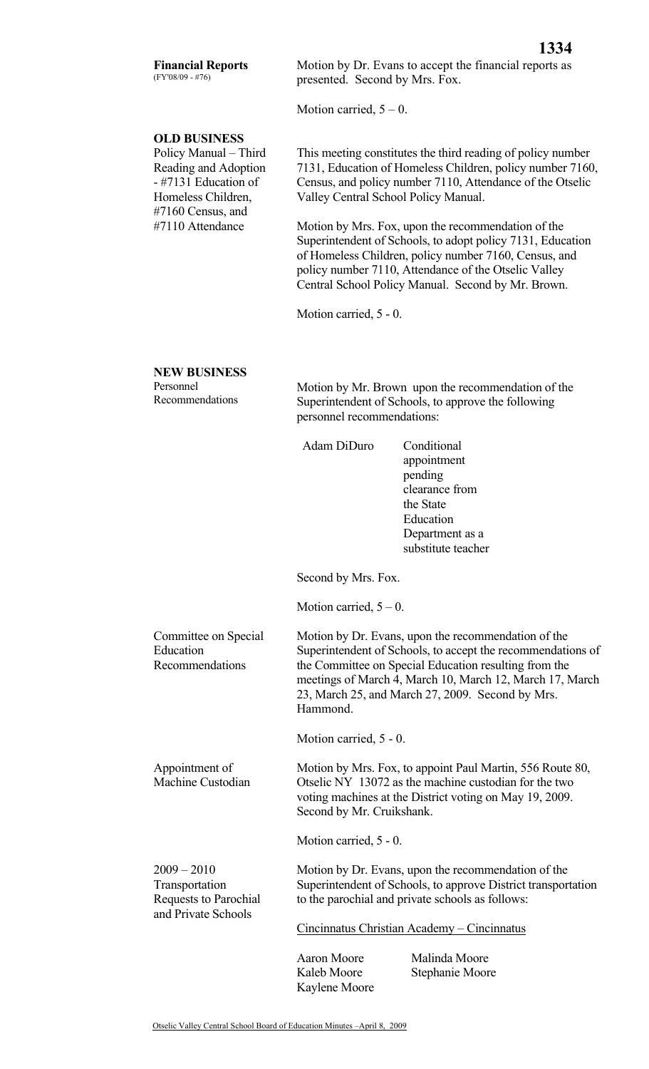## **Financial Reports**  (FY'08/09 - #76)

Motion by Dr. Evans to accept the financial reports as presented. Second by Mrs. Fox.

Motion carried,  $5 - 0$ .

## **OLD BUSINESS**

Policy Manual – Third Reading and Adoption - #7131 Education of Homeless Children, #7160 Census, and #7110 Attendance

This meeting constitutes the third reading of policy number 7131, Education of Homeless Children, policy number 7160, Census, and policy number 7110, Attendance of the Otselic Valley Central School Policy Manual.

Motion by Mrs. Fox, upon the recommendation of the Superintendent of Schools, to adopt policy 7131, Education of Homeless Children, policy number 7160, Census, and policy number 7110, Attendance of the Otselic Valley Central School Policy Manual. Second by Mr. Brown.

Motion carried, 5 - 0.

## **NEW BUSINESS**

Personnel Recommendations

Committee on Special

Recommendations

Appointment of Machine Custodian

 $2009 - 2010$ Transportation

Requests to Parochial and Private Schools

**Education** 

Motion by Mr. Brown upon the recommendation of the Superintendent of Schools, to approve the following personnel recommendations:

Adam DiDuro Conditional

appointment pending clearance from the State Education Department as a substitute teacher

Second by Mrs. Fox.

Motion carried,  $5 - 0$ .

Motion by Dr. Evans, upon the recommendation of the Superintendent of Schools, to accept the recommendations of the Committee on Special Education resulting from the meetings of March 4, March 10, March 12, March 17, March 23, March 25, and March 27, 2009. Second by Mrs. Hammond.

Motion carried, 5 - 0.

Motion by Mrs. Fox, to appoint Paul Martin, 556 Route 80, Otselic NY 13072 as the machine custodian for the two voting machines at the District voting on May 19, 2009. Second by Mr. Cruikshank.

Motion carried, 5 - 0.

Motion by Dr. Evans, upon the recommendation of the Superintendent of Schools, to approve District transportation to the parochial and private schools as follows:

Cincinnatus Christian Academy – Cincinnatus

Kaylene Moore

Aaron Moore Malinda Moore Kaleb Moore Stephanie Moore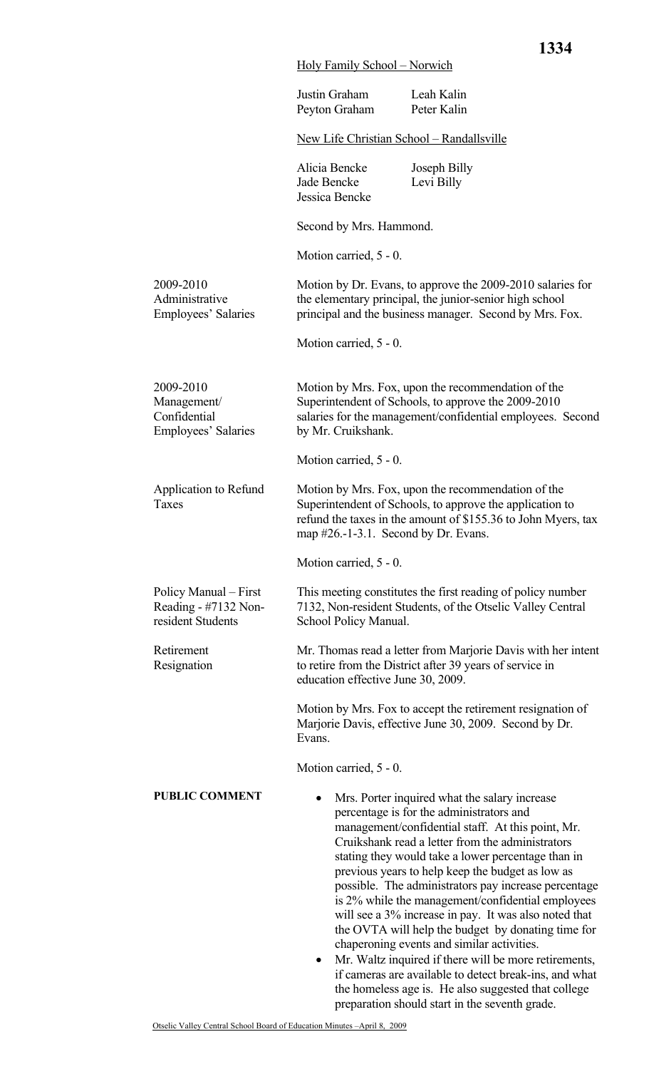|                                                                    | Justin Graham<br>Peyton Graham                                                                                                                                                                | Leah Kalin<br>Peter Kalin                                                                                                                                                                                                                                                                                                                                                                                                                                                                                                                                                                                                                                                                                 |  |
|--------------------------------------------------------------------|-----------------------------------------------------------------------------------------------------------------------------------------------------------------------------------------------|-----------------------------------------------------------------------------------------------------------------------------------------------------------------------------------------------------------------------------------------------------------------------------------------------------------------------------------------------------------------------------------------------------------------------------------------------------------------------------------------------------------------------------------------------------------------------------------------------------------------------------------------------------------------------------------------------------------|--|
|                                                                    | New Life Christian School - Randallsville                                                                                                                                                     |                                                                                                                                                                                                                                                                                                                                                                                                                                                                                                                                                                                                                                                                                                           |  |
|                                                                    | Alicia Bencke<br>Jade Bencke<br>Jessica Bencke                                                                                                                                                | Joseph Billy<br>Levi Billy                                                                                                                                                                                                                                                                                                                                                                                                                                                                                                                                                                                                                                                                                |  |
|                                                                    | Second by Mrs. Hammond.                                                                                                                                                                       |                                                                                                                                                                                                                                                                                                                                                                                                                                                                                                                                                                                                                                                                                                           |  |
|                                                                    | Motion carried, 5 - 0.                                                                                                                                                                        |                                                                                                                                                                                                                                                                                                                                                                                                                                                                                                                                                                                                                                                                                                           |  |
| 2009-2010<br>Administrative<br>Employees' Salaries                 |                                                                                                                                                                                               | Motion by Dr. Evans, to approve the 2009-2010 salaries for<br>the elementary principal, the junior-senior high school<br>principal and the business manager. Second by Mrs. Fox.                                                                                                                                                                                                                                                                                                                                                                                                                                                                                                                          |  |
|                                                                    | Motion carried, 5 - 0.                                                                                                                                                                        |                                                                                                                                                                                                                                                                                                                                                                                                                                                                                                                                                                                                                                                                                                           |  |
| 2009-2010<br>Management/<br>Confidential<br>Employees' Salaries    | Motion by Mrs. Fox, upon the recommendation of the<br>Superintendent of Schools, to approve the 2009-2010<br>salaries for the management/confidential employees. Second<br>by Mr. Cruikshank. |                                                                                                                                                                                                                                                                                                                                                                                                                                                                                                                                                                                                                                                                                                           |  |
|                                                                    | Motion carried, 5 - 0.                                                                                                                                                                        |                                                                                                                                                                                                                                                                                                                                                                                                                                                                                                                                                                                                                                                                                                           |  |
| Application to Refund<br>Taxes                                     | map $#26.-1-3.1$ . Second by Dr. Evans.                                                                                                                                                       | Motion by Mrs. Fox, upon the recommendation of the<br>Superintendent of Schools, to approve the application to<br>refund the taxes in the amount of \$155.36 to John Myers, tax                                                                                                                                                                                                                                                                                                                                                                                                                                                                                                                           |  |
|                                                                    | Motion carried, 5 - 0.                                                                                                                                                                        |                                                                                                                                                                                                                                                                                                                                                                                                                                                                                                                                                                                                                                                                                                           |  |
| Policy Manual – First<br>Reading - #7132 Non-<br>resident Students | School Policy Manual.                                                                                                                                                                         | This meeting constitutes the first reading of policy number<br>7132, Non-resident Students, of the Otselic Valley Central                                                                                                                                                                                                                                                                                                                                                                                                                                                                                                                                                                                 |  |
| Retirement<br>Resignation                                          | education effective June 30, 2009.                                                                                                                                                            | Mr. Thomas read a letter from Marjorie Davis with her intent<br>to retire from the District after 39 years of service in                                                                                                                                                                                                                                                                                                                                                                                                                                                                                                                                                                                  |  |
|                                                                    | Evans.                                                                                                                                                                                        | Motion by Mrs. Fox to accept the retirement resignation of<br>Marjorie Davis, effective June 30, 2009. Second by Dr.                                                                                                                                                                                                                                                                                                                                                                                                                                                                                                                                                                                      |  |
|                                                                    | Motion carried, 5 - 0.                                                                                                                                                                        |                                                                                                                                                                                                                                                                                                                                                                                                                                                                                                                                                                                                                                                                                                           |  |
| <b>PUBLIC COMMENT</b>                                              | ٠<br>$\bullet$                                                                                                                                                                                | Mrs. Porter inquired what the salary increase<br>percentage is for the administrators and<br>management/confidential staff. At this point, Mr.<br>Cruikshank read a letter from the administrators<br>stating they would take a lower percentage than in<br>previous years to help keep the budget as low as<br>possible. The administrators pay increase percentage<br>is 2% while the management/confidential employees<br>will see a 3% increase in pay. It was also noted that<br>the OVTA will help the budget by donating time for<br>chaperoning events and similar activities.<br>Mr. Waltz inquired if there will be more retirements,<br>if cameras are available to detect break-ins, and what |  |

the homeless age is. He also suggested that college

preparation should start in the seventh grade.

Holy Family School – Norwich